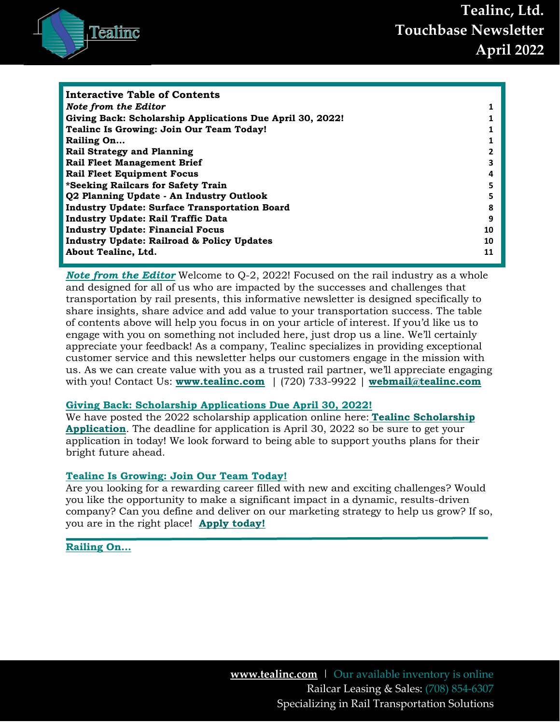

| Interactive Table of Contents                             |    |
|-----------------------------------------------------------|----|
| Note from the Editor                                      |    |
| Giving Back: Scholarship Applications Due April 30, 2022! |    |
| Tealinc Is Growing: Join Our Team Today!                  |    |
| Railing On                                                |    |
| <b>Rail Strategy and Planning</b>                         |    |
| <b>Rail Fleet Management Brief</b>                        | 3  |
| <b>Rail Fleet Equipment Focus</b>                         | 4  |
| *Seeking Railcars for Safety Train                        | 5  |
| Q2 Planning Update - An Industry Outlook                  | 5  |
| <b>Industry Update: Surface Transportation Board</b>      | 8  |
| <b>Industry Update: Rail Traffic Data</b>                 | 9  |
| <b>Industry Update: Financial Focus</b>                   | 10 |
| <b>Industry Update: Railroad &amp; Policy Updates</b>     | 10 |
| About Tealinc, Ltd.                                       | 11 |
|                                                           |    |

<span id="page-0-0"></span>*Note from the Editor* Welcome to Q-2, 2022! Focused on the rail industry as a whole and designed for all of us who are impacted by the successes and challenges that transportation by rail presents, this informative newsletter is designed specifically to share insights, share advice and add value to your transportation success. The table of contents above will help you focus in on your article of interest. If you'd like us to engage with you on something not included here, just drop us a line. We'll certainly appreciate your feedback! As a company, Tealinc specializes in providing exceptional customer service and this newsletter helps our customers engage in the mission with us. As we can create value with you as a trusted rail partner, we'll appreciate engaging with you! Contact Us: **[www.tealinc.com](http://www.tealinc.com/)** | (720) 733-9922 | **[webmail@tealinc.com](mailto:webmail@tealinc.com)**

#### <span id="page-0-1"></span>**Giving Back: Scholarship Applications Due April 30, 2022!**

We have posted the 2022 scholarship application online here: **[Tealinc Scholarship](https://www.tealinc.com/scholarship-program/)  [Application](https://www.tealinc.com/scholarship-program/)**. The deadline for application is April 30, 2022 so be sure to get your application in today! We look forward to being able to support youths plans for their bright future ahead.

#### <span id="page-0-2"></span>**Tealinc Is Growing: Join Our Team Today!**

Are you looking for a rewarding career filled with new and exciting challenges? Would you like the opportunity to make a significant impact in a dynamic, results-driven company? Can you define and deliver on our marketing strategy to help us grow? If so, you are in the right place! **[Apply today!](https://tealinc.applytojob.com/apply/XKuHe9xWy0/Marketing-Specialist)**

#### <span id="page-0-3"></span>**Railing On…**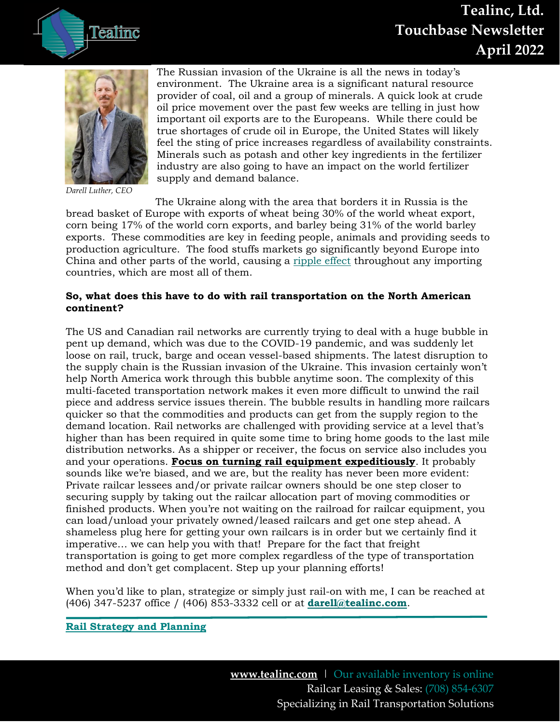

**Tealinc, Ltd. Touchbase Newsletter April 2022**



*Darell Luther, CEO*

The Russian invasion of the Ukraine is all the news in today's environment. The Ukraine area is a significant natural resource provider of coal, oil and a group of minerals. A quick look at crude oil price movement over the past few weeks are telling in just how important oil exports are to the Europeans. While there could be true shortages of crude oil in Europe, the United States will likely feel the sting of price increases regardless of availability constraints. Minerals such as potash and other key ingredients in the fertilizer industry are also going to have an impact on the world fertilizer supply and demand balance.

The Ukraine along with the area that borders it in Russia is the bread basket of Europe with exports of wheat being 30% of the world wheat export, corn being 17% of the world corn exports, and barley being 31% of the world barley exports. These commodities are key in feeding people, animals and providing seeds to production agriculture. The food stuffs markets go significantly beyond Europe into China and other parts of the world, causing a [ripple effect](https://www.bulkmaterialsinternational.com/news/news/commodity-prices-soar-as-putin-wages-war-68457) throughout any importing countries, which are most all of them.

#### **So, what does this have to do with rail transportation on the North American continent?**

The US and Canadian rail networks are currently trying to deal with a huge bubble in pent up demand, which was due to the COVID-19 pandemic, and was suddenly let loose on rail, truck, barge and ocean vessel-based shipments. The latest disruption to the supply chain is the Russian invasion of the Ukraine. This invasion certainly won't help North America work through this bubble anytime soon. The complexity of this multi-faceted transportation network makes it even more difficult to unwind the rail piece and address service issues therein. The bubble results in handling more railcars quicker so that the commodities and products can get from the supply region to the demand location. Rail networks are challenged with providing service at a level that's higher than has been required in quite some time to bring home goods to the last mile distribution networks. As a shipper or receiver, the focus on service also includes you and your operations. **Focus on turning rail equipment expeditiously**. It probably sounds like we're biased, and we are, but the reality has never been more evident: Private railcar lessees and/or private railcar owners should be one step closer to securing supply by taking out the railcar allocation part of moving commodities or finished products. When you're not waiting on the railroad for railcar equipment, you can load/unload your privately owned/leased railcars and get one step ahead. A shameless plug here for getting your own railcars is in order but we certainly find it imperative… we can help you with that! Prepare for the fact that freight transportation is going to get more complex regardless of the type of transportation method and don't get complacent. Step up your planning efforts!

When you'd like to plan, strategize or simply just rail-on with me, I can be reached at (406) 347-5237 office / (406) 853-3332 cell or at **[darell@tealinc.com](mailto:darell@tealinc.com)**.

#### <span id="page-1-0"></span>**Rail Strategy and Planning**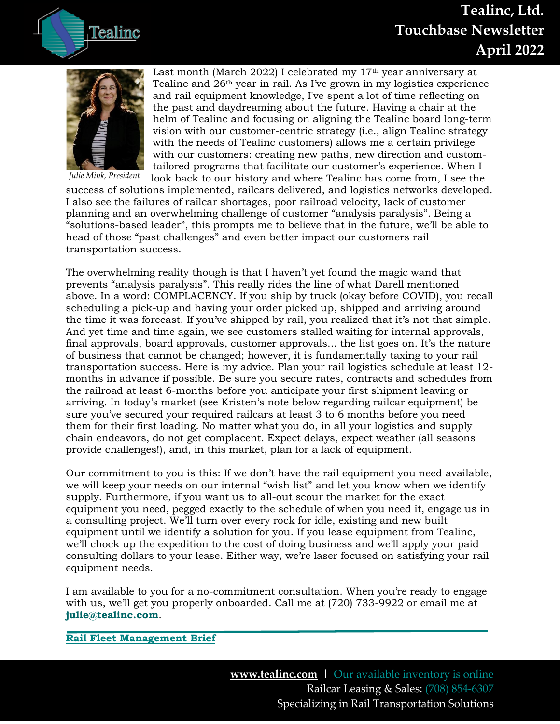# **Tealinc, Ltd. Touchbase Newsletter April 2022**





*Julie Mink, President*

Last month (March 2022) I celebrated my  $17<sup>th</sup>$  year anniversary at Tealinc and 26th year in rail. As I've grown in my logistics experience and rail equipment knowledge, I've spent a lot of time reflecting on the past and daydreaming about the future. Having a chair at the helm of Tealinc and focusing on aligning the Tealinc board long-term vision with our customer-centric strategy (i.e., align Tealinc strategy with the needs of Tealinc customers) allows me a certain privilege with our customers: creating new paths, new direction and customtailored programs that facilitate our customer's experience. When I look back to our history and where Tealinc has come from, I see the

success of solutions implemented, railcars delivered, and logistics networks developed. I also see the failures of railcar shortages, poor railroad velocity, lack of customer planning and an overwhelming challenge of customer "analysis paralysis". Being a "solutions-based leader", this prompts me to believe that in the future, we'll be able to head of those "past challenges" and even better impact our customers rail transportation success.

The overwhelming reality though is that I haven't yet found the magic wand that prevents "analysis paralysis". This really rides the line of what Darell mentioned above. In a word: COMPLACENCY. If you ship by truck (okay before COVID), you recall scheduling a pick-up and having your order picked up, shipped and arriving around the time it was forecast. If you've shipped by rail, you realized that it's not that simple. And yet time and time again, we see customers stalled waiting for internal approvals, final approvals, board approvals, customer approvals... the list goes on. It's the nature of business that cannot be changed; however, it is fundamentally taxing to your rail transportation success. Here is my advice. Plan your rail logistics schedule at least 12 months in advance if possible. Be sure you secure rates, contracts and schedules from the railroad at least 6-months before you anticipate your first shipment leaving or arriving. In today's market (see Kristen's note below regarding railcar equipment) be sure you've secured your required railcars at least 3 to 6 months before you need them for their first loading. No matter what you do, in all your logistics and supply chain endeavors, do not get complacent. Expect delays, expect weather (all seasons provide challenges!), and, in this market, plan for a lack of equipment.

Our commitment to you is this: If we don't have the rail equipment you need available, we will keep your needs on our internal "wish list" and let you know when we identify supply. Furthermore, if you want us to all-out scour the market for the exact equipment you need, pegged exactly to the schedule of when you need it, engage us in a consulting project. We'll turn over every rock for idle, existing and new built equipment until we identify a solution for you. If you lease equipment from Tealinc, we'll chock up the expedition to the cost of doing business and we'll apply your paid consulting dollars to your lease. Either way, we're laser focused on satisfying your rail equipment needs.

I am available to you for a no-commitment consultation. When you're ready to engage with us, we'll get you properly onboarded. Call me at (720) 733-9922 or email me at **[julie@tealinc.com](mailto:julie@tealinc.com)**.

#### <span id="page-2-0"></span>**Rail Fleet Management Brief**

**[www.tealinc.com](http://www.tealinc.com/)** | Our available inventory is online Railcar Leasing & Sales: (708) 854-6307 Specializing in Rail Transportation Solutions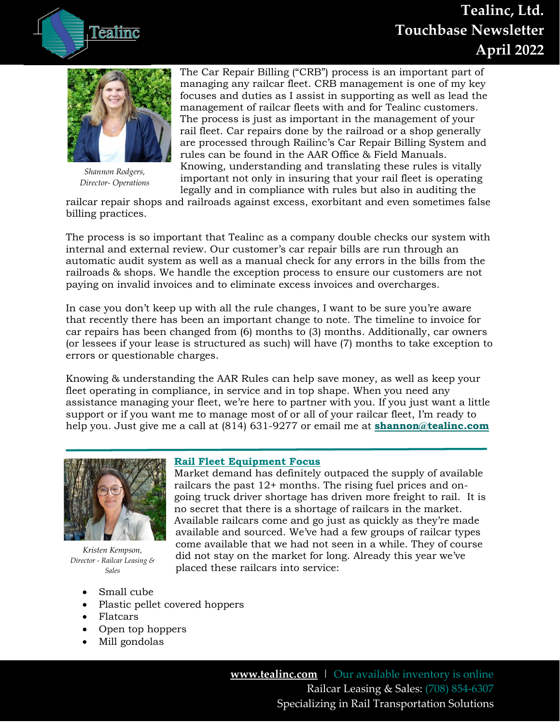# **Tealinc, Ltd. Touchbase Newsletter April 2022**





*Shannon Rodgers, Director- Operations*

The Car Repair Billing ("CRB") process is an important part of managing any railcar fleet. CRB management is one of my key focuses and duties as I assist in supporting as well as lead the management of railcar fleets with and for Tealinc customers. The process is just as important in the management of your rail fleet. Car repairs done by the railroad or a shop generally are processed through Railinc's Car Repair Billing System and rules can be found in the AAR Office & Field Manuals. Knowing, understanding and translating these rules is vitally important not only in insuring that your rail fleet is operating legally and in compliance with rules but also in auditing the

railcar repair shops and railroads against excess, exorbitant and even sometimes false billing practices.

The process is so important that Tealinc as a company double checks our system with internal and external review. Our customer's car repair bills are run through an automatic audit system as well as a manual check for any errors in the bills from the railroads & shops. We handle the exception process to ensure our customers are not paying on invalid invoices and to eliminate excess invoices and overcharges.

In case you don't keep up with all the rule changes, I want to be sure you're aware that recently there has been an important change to note. The timeline to invoice for car repairs has been changed from (6) months to (3) months. Additionally, car owners (or lessees if your lease is structured as such) will have (7) months to take exception to errors or questionable charges.

Knowing & understanding the AAR Rules can help save money, as well as keep your fleet operating in compliance, in service and in top shape. When you need any assistance managing your fleet, we're here to partner with you. If you just want a little support or if you want me to manage most of or all of your railcar fleet, I'm ready to help you. Just give me a call at (814) 631-9277 or email me at **[shannon@tealinc.com](mailto:shannon@tealinc.com)**



*Kristen Kempson, Director - Railcar Leasing & Sales*

- Small cube
- Plastic pellet covered hoppers
- Flatcars
- Open top hoppers
- Mill gondolas

## <span id="page-3-0"></span>**Rail Fleet Equipment Focus**

Market demand has definitely outpaced the supply of available railcars the past 12+ months. The rising fuel prices and ongoing truck driver shortage has driven more freight to rail. It is no secret that there is a shortage of railcars in the market. Available railcars come and go just as quickly as they're made available and sourced. We've had a few groups of railcar types come available that we had not seen in a while. They of course did not stay on the market for long. Already this year we've placed these railcars into service:

> **[www.tealinc.com](http://www.tealinc.com/)** | Our available inventory is online Railcar Leasing & Sales: (708) 854-6307 Specializing in Rail Transportation Solutions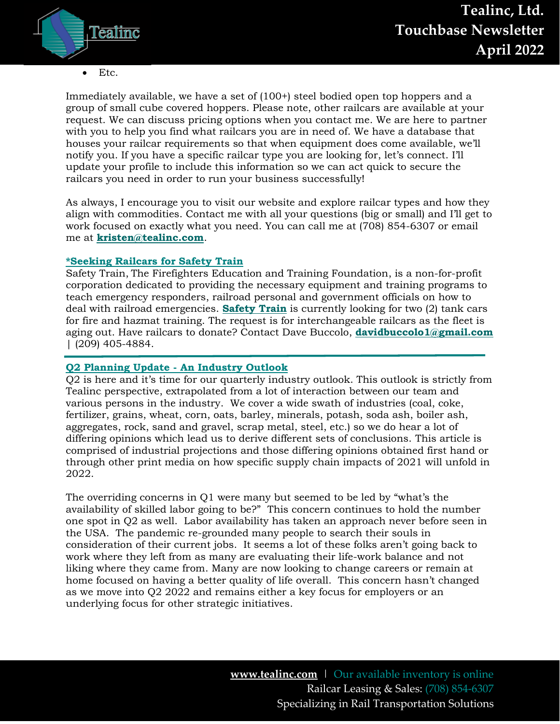

• Etc.

Immediately available, we have a set of (100+) steel bodied open top hoppers and a group of small cube covered hoppers. Please note, other railcars are available at your request. We can discuss pricing options when you contact me. We are here to partner with you to help you find what railcars you are in need of. We have a database that houses your railcar requirements so that when equipment does come available, we'll notify you. If you have a specific railcar type you are looking for, let's connect. I'll update your profile to include this information so we can act quick to secure the railcars you need in order to run your business successfully!

As always, I encourage you to visit our website and explore railcar types and how they align with commodities. Contact me with all your questions (big or small) and I'll get to work focused on exactly what you need. You can call me at (708) 854-6307 or email me at **[kristen@tealinc.com](file:///C:/Users/themi/Dropbox%20(Tealinc,%20Ltd.)/Team%20Share%20Folder/Reference%20-%20Employee%20Only/Marketing/Newsletter/2022/January%202022/kristen@tealinc.com)**.

#### <span id="page-4-0"></span>**\*Seeking Railcars for Safety Train**

Safety Train, The Firefighters Education and Training Foundation, is a non-for-profit corporation dedicated to providing the necessary equipment and training programs to teach emergency responders, railroad personal and government officials on how to deal with railroad emergencies. **[Safety Train](https://www.thesafetytrain.org/)** is currently looking for two (2) tank cars for fire and hazmat training. The request is for interchangeable railcars as the fleet is aging out. Have railcars to donate? Contact Dave Buccolo, **[davidbuccolo1@gmail.com](mailto:davidbuccolo1@gmail.com)** | (209) 405-4884.

#### <span id="page-4-1"></span>**Q2 Planning Update - An Industry Outlook**

Q2 is here and it's time for our quarterly industry outlook. This outlook is strictly from Tealinc perspective, extrapolated from a lot of interaction between our team and various persons in the industry. We cover a wide swath of industries (coal, coke, fertilizer, grains, wheat, corn, oats, barley, minerals, potash, soda ash, boiler ash, aggregates, rock, sand and gravel, scrap metal, steel, etc.) so we do hear a lot of differing opinions which lead us to derive different sets of conclusions. This article is comprised of industrial projections and those differing opinions obtained first hand or through other print media on how specific supply chain impacts of 2021 will unfold in 2022.

The overriding concerns in Q1 were many but seemed to be led by "what's the availability of skilled labor going to be?" This concern continues to hold the number one spot in Q2 as well. Labor availability has taken an approach never before seen in the USA. The pandemic re-grounded many people to search their souls in consideration of their current jobs. It seems a lot of these folks aren't going back to work where they left from as many are evaluating their life-work balance and not liking where they came from. Many are now looking to change careers or remain at home focused on having a better quality of life overall. This concern hasn't changed as we move into Q2 2022 and remains either a key focus for employers or an underlying focus for other strategic initiatives.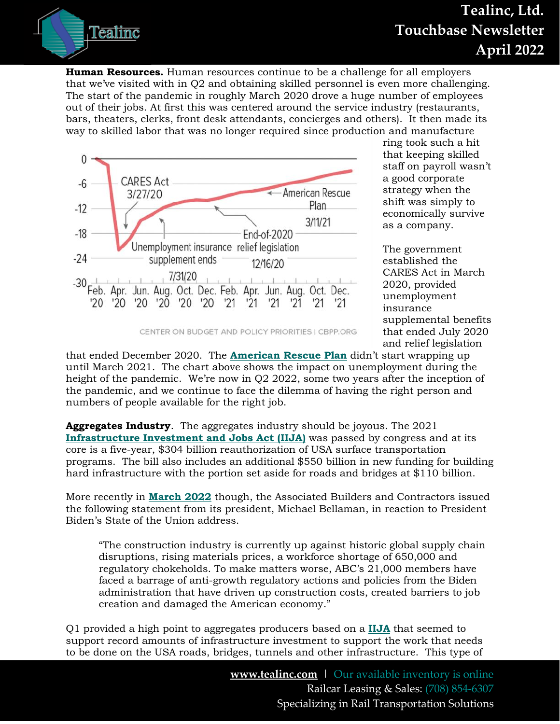

**Human Resources.** Human resources continue to be a challenge for all employers that we've visited with in Q2 and obtaining skilled personnel is even more challenging. The start of the pandemic in roughly March 2020 drove a huge number of employees out of their jobs. At first this was centered around the service industry (restaurants, bars, theaters, clerks, front desk attendants, concierges and others). It then made its way to skilled labor that was no longer required since production and manufacture



ring took such a hit that keeping skilled staff on payroll wasn't a good corporate strategy when the shift was simply to economically survive as a company.

The government established the CARES Act in March 2020, provided unemployment insurance supplemental benefits that ended July 2020 and relief legislation

that ended December 2020. The **[American Rescue Plan](https://www.cbpp.org/research/poverty-and-inequality/american-rescue-plan-shots-in-arms-and-money-in-pockets)** didn't start wrapping up until March 2021. The chart above shows the impact on unemployment during the height of the pandemic. We're now in Q2 2022, some two years after the inception of the pandemic, and we continue to face the dilemma of having the right person and numbers of people available for the right job.

**Aggregates Industry**. The aggregates industry should be joyous. The 2021 **[Infrastructure Investment and Jobs Act \(IIJA\)](https://www.congress.gov/bill/117th-congress/house-bill/3684/text)** was passed by congress and at its core is a five-year, \$304 billion reauthorization of USA surface transportation programs. The bill also includes an additional \$550 billion in new funding for building hard infrastructure with the portion set aside for roads and bridges at \$110 billion.

More recently in **[March 2022](https://www.abc.org/News-Media/News-Releases/entryid/19267/abc-statement-on-president-biden-s-state-of-the-union-address)** though, the Associated Builders and Contractors issued the following statement from its president, Michael Bellaman, in reaction to President Biden's State of the Union address.

"The construction industry is currently up against historic global supply chain disruptions, rising materials prices, a workforce shortage of 650,000 and regulatory chokeholds. To make matters worse, ABC's 21,000 members have faced a barrage of anti-growth regulatory actions and policies from the Biden administration that have driven up construction costs, created barriers to job creation and damaged the American economy."

Q1 provided a high point to aggregates producers based on a **[IIJA](https://rockproducts.com/2021/11/28/the-iija-is-an-historic-achievement/)** that seemed to support record amounts of infrastructure investment to support the work that needs to be done on the USA roads, bridges, tunnels and other infrastructure. This type of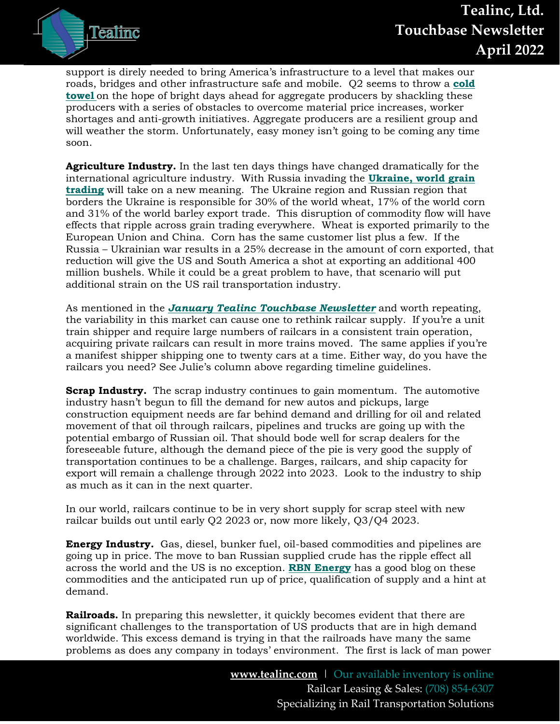

support is direly needed to bring America's infrastructure to a level that makes our roads, bridges and other infrastructure safe and mobile. Q2 seems to throw a **[cold](https://concreteproducts.com/index.php/2022/03/08/inflation-drives-construction-aggregates-toward-30-billion/)  [towel](https://concreteproducts.com/index.php/2022/03/08/inflation-drives-construction-aggregates-toward-30-billion/)** on the hope of bright days ahead for aggregate producers by shackling these producers with a series of obstacles to overcome material price increases, worker shortages and anti-growth initiatives. Aggregate producers are a resilient group and will weather the storm. Unfortunately, easy money isn't going to be coming any time soon.

**Agriculture Industry.** In the last ten days things have changed dramatically for the international agriculture industry. With Russia invading the **Ukraine, [world grain](https://informamarkets.turtl.co/story/russia-ukraine-conflict-impact-on-us-agriculture/page/4/1)  [trading](https://informamarkets.turtl.co/story/russia-ukraine-conflict-impact-on-us-agriculture/page/4/1)** will take on a new meaning. The Ukraine region and Russian region that borders the Ukraine is responsible for 30% of the world wheat, 17% of the world corn and 31% of the world barley export trade. This disruption of commodity flow will have effects that ripple across grain trading everywhere. Wheat is exported primarily to the European Union and China. Corn has the same customer list plus a few. If the Russia – Ukrainian war results in a 25% decrease in the amount of corn exported, that reduction will give the US and South America a shot at exporting an additional 400 million bushels. While it could be a great problem to have, that scenario will put additional strain on the US rail transportation industry.

As mentioned in the *[January Tealinc Touchbase Newsletter](https://www.tealinc.com/tealinc-rail-industry-blog/)* and worth repeating, the variability in this market can cause one to rethink railcar supply. If you're a unit train shipper and require large numbers of railcars in a consistent train operation, acquiring private railcars can result in more trains moved. The same applies if you're a manifest shipper shipping one to twenty cars at a time. Either way, do you have the railcars you need? See Julie's column above regarding timeline guidelines.

**Scrap Industry.** The scrap industry continues to gain momentum. The automotive industry hasn't begun to fill the demand for new autos and pickups, large construction equipment needs are far behind demand and drilling for oil and related movement of that oil through railcars, pipelines and trucks are going up with the potential embargo of Russian oil. That should bode well for scrap dealers for the foreseeable future, although the demand piece of the pie is very good the supply of transportation continues to be a challenge. Barges, railcars, and ship capacity for export will remain a challenge through 2022 into 2023. Look to the industry to ship as much as it can in the next quarter.

In our world, railcars continue to be in very short supply for scrap steel with new railcar builds out until early Q2 2023 or, now more likely, Q3/Q4 2023.

**Energy Industry.** Gas, diesel, bunker fuel, oil-based commodities and pipelines are going up in price. The move to ban Russian supplied crude has the ripple effect all across the world and the US is no exception. **[RBN Energy](https://rbnenergy.com/comfortably-numb-a-reality-check-on-energy-prices-and-their-impacts)** has a good blog on these commodities and the anticipated run up of price, qualification of supply and a hint at demand.

**Railroads.** In preparing this newsletter, it quickly becomes evident that there are significant challenges to the transportation of US products that are in high demand worldwide. This excess demand is trying in that the railroads have many the same problems as does any company in todays' environment. The first is lack of man power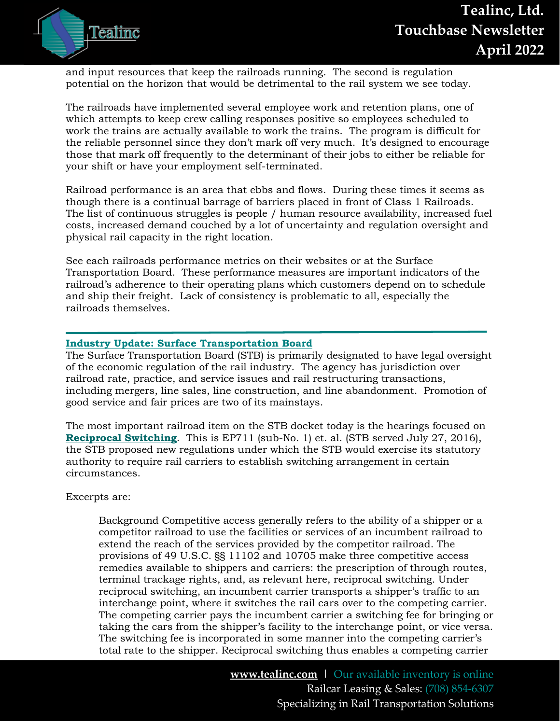and input resources that keep the railroads running. The second is regulation potential on the horizon that would be detrimental to the rail system we see today.

The railroads have implemented several employee work and retention plans, one of which attempts to keep crew calling responses positive so employees scheduled to work the trains are actually available to work the trains. The program is difficult for the reliable personnel since they don't mark off very much. It's designed to encourage those that mark off frequently to the determinant of their jobs to either be reliable for your shift or have your employment self-terminated.

Railroad performance is an area that ebbs and flows. During these times it seems as though there is a continual barrage of barriers placed in front of Class 1 Railroads. The list of continuous struggles is people / human resource availability, increased fuel costs, increased demand couched by a lot of uncertainty and regulation oversight and physical rail capacity in the right location.

See each railroads performance metrics on their websites or at the [Surface](https://www.stb.gov/reports-data/rail-service-data/)  [Transportation Board.](https://www.stb.gov/reports-data/rail-service-data/) These performance measures are important indicators of the railroad's adherence to their operating plans which customers depend on to schedule and ship their freight. Lack of consistency is problematic to all, especially the railroads themselves.

#### <span id="page-7-0"></span>**Industry Update: Surface Transportation Board**

The Surface Transportation Board (STB) is primarily designated to have legal oversight of the economic regulation of the rail industry. The agency has jurisdiction over railroad rate, practice, and service issues and rail restructuring transactions, including mergers, line sales, line construction, and line abandonment. Promotion of good service and fair prices are two of its mainstays.

The most important railroad item on the STB docket today is the hearings focused on **[Reciprocal Switching](file:///C:/Users/Darell%20Luther/Downloads/50995.pdf)**. This is EP711 (sub-No. 1) et. al. (STB served July 27, 2016), the STB proposed new regulations under which the STB would exercise its statutory authority to require rail carriers to establish switching arrangement in certain circumstances.

Excerpts are:

Background Competitive access generally refers to the ability of a shipper or a competitor railroad to use the facilities or services of an incumbent railroad to extend the reach of the services provided by the competitor railroad. The provisions of 49 U.S.C. §§ 11102 and 10705 make three competitive access remedies available to shippers and carriers: the prescription of through routes, terminal trackage rights, and, as relevant here, reciprocal switching. Under reciprocal switching, an incumbent carrier transports a shipper's traffic to an interchange point, where it switches the rail cars over to the competing carrier. The competing carrier pays the incumbent carrier a switching fee for bringing or taking the cars from the shipper's facility to the interchange point, or vice versa. The switching fee is incorporated in some manner into the competing carrier's total rate to the shipper. Reciprocal switching thus enables a competing carrier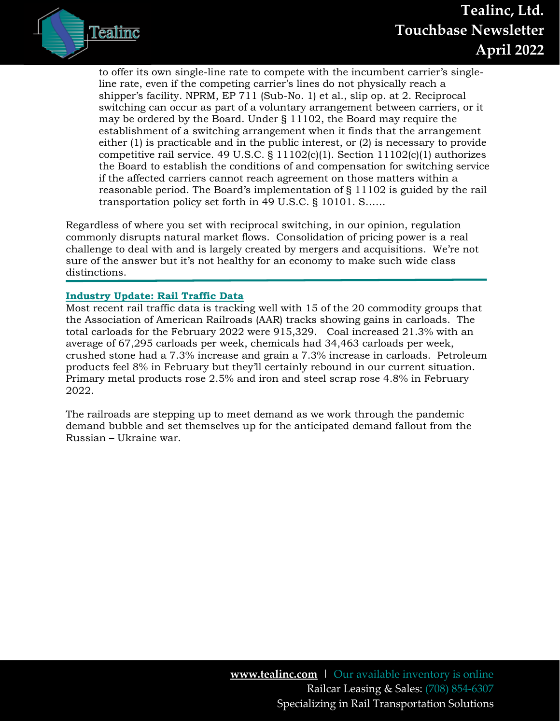

to offer its own single-line rate to compete with the incumbent carrier's singleline rate, even if the competing carrier's lines do not physically reach a shipper's facility. NPRM, EP 711 (Sub-No. 1) et al., slip op. at 2. Reciprocal switching can occur as part of a voluntary arrangement between carriers, or it may be ordered by the Board. Under § 11102, the Board may require the establishment of a switching arrangement when it finds that the arrangement either (1) is practicable and in the public interest, or (2) is necessary to provide competitive rail service. 49 U.S.C. § 11102(c)(1). Section 11102(c)(1) authorizes the Board to establish the conditions of and compensation for switching service if the affected carriers cannot reach agreement on those matters within a reasonable period. The Board's implementation of § 11102 is guided by the rail transportation policy set forth in 49 U.S.C. § 10101. S……

Regardless of where you set with reciprocal switching, in our opinion, regulation commonly disrupts natural market flows. Consolidation of pricing power is a real challenge to deal with and is largely created by mergers and acquisitions. We're not sure of the answer but it's not healthy for an economy to make such wide class distinctions.

### <span id="page-8-0"></span>**Industry Update: Rail Traffic Data**

Most recent rail traffic data is tracking well with 15 of the 20 commodity groups that the Association of American Railroads (AAR) tracks showing gains in carloads. The total carloads for the February 2022 were 915,329. Coal increased 21.3% with an average of 67,295 carloads per week, chemicals had 34,463 carloads per week, crushed stone had a 7.3% increase and grain a 7.3% increase in carloads. Petroleum products feel 8% in February but they'll certainly rebound in our current situation. Primary metal products rose 2.5% and iron and steel scrap rose 4.8% in February 2022.

The railroads are stepping up to meet demand as we work through the pandemic demand bubble and set themselves up for the anticipated demand fallout from the Russian – Ukraine war.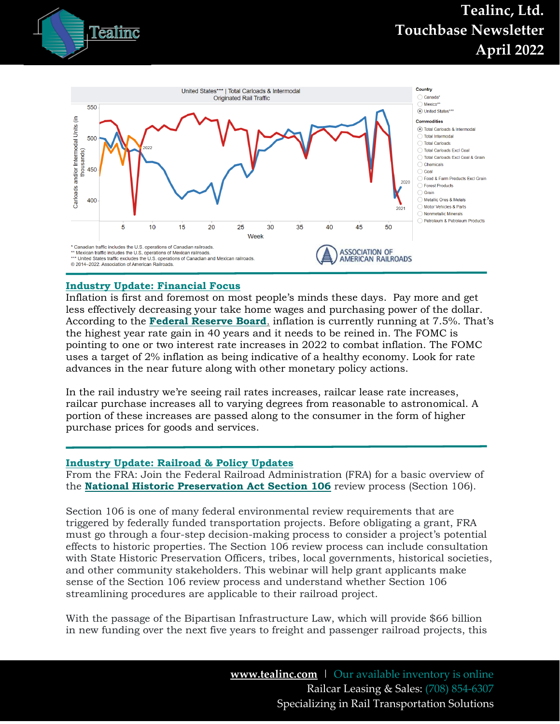# Tealinc

# **Tealinc, Ltd. Touchbase Newsletter April 2022**



## <span id="page-9-0"></span>**Industry Update: Financial Focus**

Inflation is first and foremost on most people's minds these days. Pay more and get less effectively decreasing your take home wages and purchasing power of the dollar. According to the **[Federal Reserve Board](https://www.federalreserve.gov/newsevents/speeches.htm)**, inflation is currently running at 7.5%. That's the highest year rate gain in 40 years and it needs to be reined in. The FOMC is pointing to one or two interest rate increases in 2022 to combat inflation. The FOMC uses a target of 2% inflation as being indicative of a healthy economy. Look for rate advances in the near future along with other monetary policy actions.

In the rail industry we're seeing rail rates increases, railcar lease rate increases, railcar purchase increases all to varying degrees from reasonable to astronomical. A portion of these increases are passed along to the consumer in the form of higher purchase prices for goods and services.

#### <span id="page-9-1"></span>**Industry Update: Railroad & Policy Updates**

From the FRA: Join the Federal Railroad Administration (FRA) for a basic overview of the **[National Historic Preservation Act Section 106](https://www.achp.gov/protecting-historic-properties)** review process (Section 106).

Section 106 is one of many federal environmental review requirements that are triggered by federally funded transportation projects. Before obligating a grant, FRA must go through a four-step decision-making process to consider a project's potential effects to historic properties. The Section 106 review process can include consultation with State Historic Preservation Officers, tribes, local governments, historical societies, and other community stakeholders. This webinar will help grant applicants make sense of the Section 106 review process and understand whether Section 106 streamlining procedures are applicable to their railroad project.

With the passage of the Bipartisan Infrastructure Law, which will provide \$66 billion in new funding over the next five years to freight and passenger railroad projects, this